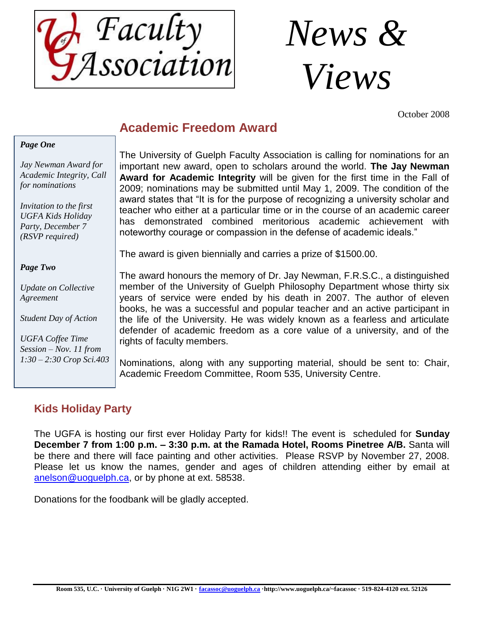



October 2008

# **Academic Freedom Award**

#### *Page One*

*Jay Newman Award for Academic Integrity, Call for nominations*

*Invitation to the first UGFA Kids Holiday Party, December 7 (RSVP required)*

#### *Page Two*

*Update on Collective Agreement*

*Student Day of Action*

*UGFA Coffee Time Session – Nov. 11 from 1:30 – 2:30 Crop Sci.403*

The University of Guelph Faculty Association is calling for nominations for an important new award, open to scholars around the world. **The Jay Newman Award for Academic Integrity** will be given for the first time in the Fall of 2009; nominations may be submitted until May 1, 2009. The condition of the award states that "It is for the purpose of recognizing a university scholar and teacher who either at a particular time or in the course of an academic career has demonstrated combined meritorious academic achievement with noteworthy courage or compassion in the defense of academic ideals."

The award is given biennially and carries a prize of \$1500.00.

The award honours the memory of Dr. Jay Newman, F.R.S.C., a distinguished member of the University of Guelph Philosophy Department whose thirty six years of service were ended by his death in 2007. The author of eleven books, he was a successful and popular teacher and an active participant in the life of the University. He was widely known as a fearless and articulate defender of academic freedom as a core value of a university, and of the rights of faculty members.

Nominations, along with any supporting material, should be sent to: Chair, Academic Freedom Committee, Room 535, University Centre.

# **Kids Holiday Party**

The UGFA is hosting our first ever Holiday Party for kids!! The event is scheduled for **Sunday December 7 from 1:00 p.m. – 3:30 p.m. at the Ramada Hotel, Rooms Pinetree A/B.** Santa will be there and there will face painting and other activities. Please RSVP by November 27, 2008. Please let us know the names, gender and ages of children attending either by email at [anelson@uoguelph.ca,](mailto:anelson@uoguelph.ca) or by phone at ext. 58538.

Donations for the foodbank will be gladly accepted.